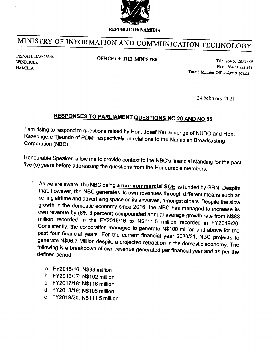

# **EXAMPLE AND SEPUBLIC OF NAMIBIA**<br> **EXAMPLE AND COMMUNICATION TECHNOLOGY**

PRIVATE BAG 13344 **WINDHOEK** NAMIBIA

OFFICE OF THE MINISTER Tel:+264 61 283 2389

Fax:+264 61 222 343 Emall: [Minister-Office@mict.gov.na](mailto:Minister-Office@mict.gov.na)

24 February 2021

# RESPONSES TO PARLIAMENT QUESTIONS NO 20 AND NO 22

Iam rising to respond to questions raised by Hon. Josef Kauandenge of NUDO and Hon. Kazeongere Tjeundo of PDM, respectively, in relations to the Namibian Broadcasting Corporation (NBC).

Honourable Speaker, allow me to provide context to the NBC's financial standing for the past five (5) years before addressing the questions from the Honourable members.

- 1. As we are aware, the NBC being a non-commercial SOE, is funded by GRN. Despite that, however, the NBC generates its own revenues through different means such as selling airtime and advertising space on its airwaves, amongst others. Despite the slow growth in the domestic economy since 2016, the NBC has managed to increase its own revenue by (8% 8 percent) compounded annual average growth rate from N\$83 million recorded in the *FY2015/16* to N\$111.5 million recorded in *FY2019/20.* Consistently, the corporation managed to generate N\$100 million and above for the past four financial years. For the current financial year *2020/21,* NBC projects to generate N\$96.7 Million despite a projected retraction in the domestic economy. The following is a breakdown of own revenue generated per financial year and as per the defined period:
	- a. *FY2015/16:* N\$83 million
	- b. *FY2016/17:* N\$102 million
	- c. *FY2017/18:* N\$116 million
	- d. *FY2018/19:* N\$106 million
	- e. *FY2019/20:* N\$111.5 million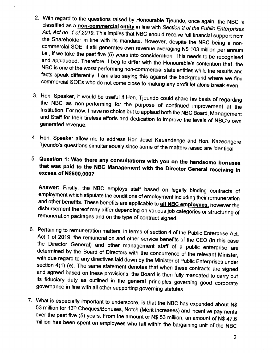- 2. With regard to the questions raised by Honourable Tjeundo, once again, the NBC is classified as a non-commercial entity in line with *Section* 2 *of the Public Enterprises Act, Act no.* 1 *of 2019.* This implies that NBC should receive full financial support from the Shareholder in line with its mandate. However, despite the NBC being a noncommercial SOE, it still generates own revenue averaging N\$ 103 million per annum i.e., if we take the past five (5) years into consideration. This needs to be recognised and applauded. Therefore, I beg to differ with the Honourable's contention that, the NBC is one of the worst performing non-commercial state entities while the results and facts speak differently. I am also saying this against the background where we find commercial SOEs who do not come close to making any profit let alone break even.
- 3. Hon. Speaker, it would be useful if Hon. Tjeundo could share his basis of regarding the NBC as non-performing for the purpose of continued improvement at the Institution. For now, I have no choice but to applaud both the NBC Board, Management and Staff for their tireless efforts and dedication to improve the levels of NBC's own generated revenue.
- 4. Hon. Speaker allow me to address Hon Josef Kauandenge and Hon. Kazeongere Tjeundo's questions Simultaneously since some of the matters raised are identical.

### 5. Question 1: Was there any consultations with you on the handsome bonuses that was paid to the NBC Management with the Director General receiving in excess of N\$500,OOO?

Answer: Firstly, the NBC employs staff based on legally binding contracts of employment which stipulate the conditions of employment including their remuneration and other benefits. These benefits are applicable to **all NBC employees**, however the disbursement thereof may differ depending on various job categories or structuring of remuneration packages and on the type of contract signed.

- 6. Pertaining to remuneration matters, in terms of section 4 of the Public Enterprise Act, Act 1 of 2019, the remuneration and other service benefits of the CEO (in this case the Director General) and other management staff of a public enterprise are determined by the Board of Directors with the concurrence of the relevant Minister, with due regard to any directives laid down by the Minister of Public Enterprises under section 4(1) (e). The same statement denotes that when these contracts are signed and agreed based on these provisions, the Board is then fully mandated to carry out its fiduciary duty as outlined in the general principles governing good corporate governance in line with all other supporting governing statutes.
- 7. What is especially important to underscore, is that the NBC has expended about N\$ 53 million for 13th Cheques/Bonuses, Notch (Merit increases) and incentive payments over the past five (5) years. From the amount of N\$ 53 million, an amount of N\$ 47.6 million has been spent on employees who fall within the bargaining unit of the NBC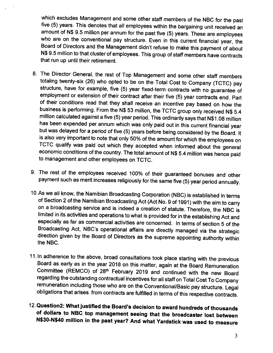which excludes Management and some other staff members of the NBC for the past five (5) years. This denotes that all employees within the bargaining unit received an amount of N\$ 9.5 million per annum for the past five (5) years. These are employees who are on the conventional pay structure. Even in this current financial year, the Board of Directors and the Management didn't refuse to make this payment of about N\$ 9.5 million to that cluster of employees. This group of staff members have contracts that run up until their retirement.

- 8. The Director General, the rest of Top Management and some other staff members totaling twenty-six (26) who opted to be on the Total Cost to Company (TCTC) pay structure, have for example, five (5) year fixed-term contracts with no guarantee of employment or extension of their contract after their five (5) year contracts end. Part of their conditions read that they shall receive an incentive pay based on how the business is performing. From the N\$ 53 million, the TCTC group only received N\$ 5.4 million calculated against a five (5) year period. This ordinarily says that N\$1.08 million has been expended per annum which was only paid out in this current financial year but was delayed for a period of five (5) years before being considered by the Board. It is also very important to note that only 50% of the amount for which the employees on TCTC qualify was paid out which they accepted when informed about the general economic conditions of the country. The total amount of N\$ 5.4 million was hence paid to management and other employees on TCTC.
- 9. The rest of the employees received 100% of their guaranteed bonuses and other payment such as merit increases religiously for the same five (5) year period annually.
- 10.As we all know, the Namibian Broadcasting Corporation (NBC) is established in terms of Section 2 of the Namibian Broadcasting Act (Act No.9 of 1991) with the aim to carry on a broadcasting service and is indeed a creation of statute. Therefore, the NBC is limited in its activities and operations to what is provided for in the establishing Act and especially as far as commercial activities are concerned. In terms of section 5 of the Broadcasting Act, NBC's operational affairs are directly managed via the strategic direction given by the Board of Directors as the supreme appointing authority within the NBC.
- 11. In adherence to the above, broad consultations took place starting with the previous Board as early as in the year 2018 on this matter, again at the Board Remuneration Committee (REMCO) of 28th February 2019 and continued with the new Board regarding the outstanding contractual incentives for all staff on Total Cost To Company remuneration including those who are on the Conventional/Basic pay structure. Legal obligations that arises from contracts are fulfilled in terms of this respective contracts.
- 12.Question2: What justified the Board's decision to award hundreds of thousands of dollars to NBC top management seeing that the broadcaster lost between N\$30-N\$40million in the past year? And what Yardstick was used to measure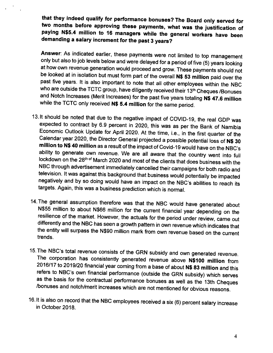that they indeed qualify for performance bonuses? The Board only served for two months before approving these payments, what was the justification of paying N\$5.4 million to 16 managers while the general workers have been demanding a salary increment for the past 3 years?

Answer: As indicated earlier, these payments were not limited to top management only but also to job levels below and were delayed for a period of five (5) years looking at how own revenue generation would proceed and grow. These payments should not be looked at in isolation but must form part of the overall N\$ 53 million paid over the past five years. It is also important to note that all other employees within the NBC who are outside the TCTC group, have diligently received their 13<sup>th</sup> Cheques /Bonuses and Notch Increases (Merit Increases) for the past five years totaling N\$ 47.6 million while the TCTC only received N\$ 5.4 million for the same period.

- 13.lt should be noted that due to the negative impact of COVID-19, the real GDP was expected to contract by 6.9 percent in 2020, this was as per the Bank of Namibia Economic Outlook Update for April 2020. At the time, i.e., in the first quarter of the Calendar year 2020, the Director General projected a possible potential loss of N\$ 30 million to N\$ 40 million as a result of the impact of Covid-19 would have on the NBC's ability to generate own revenue. We are all aware that the country went into full lockdown on the 28th of March 2020 and most of the clients that does business with the NBC through advertisement immediately cancelled their campaigns for both radio and television. It was against this background that business would potentially be impacted negatively and by so doing would have an impact on the NBC's abilities to reach its targets. Again, this was a business prediction which is normal.
- 14.The general assumption therefore was that the NBC would have generated about N\$55 million to about N\$66 million for the current financial year depending on the resilience of the market. However, the actuals for the period under review, came out differently and the NBC has seen a growth pattern in own revenue which indicates that the entity will surpass the N\$90 million mark from own revenue based on the current trends.
- 15.The NBC's total revenue consists of the GRN subsidy and own generated revenue. The corporation has consistently generated revenue above N\$100 million from 2016/17 to 2019/20 financial year coming from a base of about N\$ 83 million and this refers to NBC's own financial performance (outside the GRN subsidy) which serves as the basis for the contractual performance bonuses as well as the 13th Cheques /bonuses and notch/merit increases which are not mentioned for obvious reasons.
- 16.lt is also on record that the NBC employees received a six (6) percent salary increase in October 2018.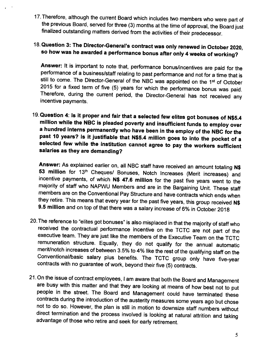17.Therefore, although the current Board which includes two members who were part of the previous Board, served for three (3) months at the time of approval, the Board just finalized outstanding matters derived from the activities of their predecessor.

# 18.Question 3: The Director-General's contract was only renewed in October 2020, so how was he awarded a performance bonus after only 4 weeks of working?

Answer: It is important to note that, performance bonus/incentives are paid for the performance of a business/staff relating to past performance and not for a time that is still to come. The Director-General of the NBC was appointed on the 1<sup>st</sup> of October 2015 for a fixed term of five (5) years for which the performance bonus was paid. Therefore, during the current period, the Director-General has not received any incentive payments.

19.Question 4: Is it proper and fair that a selected few elites got bonuses of N\$5.4 million while the NBC is pleaded poverty and insufficient funds to employ over a hundred interns permanently who have been in the employ of the NBC for the past 10 years? Is it justifiable that N\$5.4 million goes to into the pocket of a selected few while the institution cannot agree to pay the workers sufficient salaries as they are demanding?

Answer: As explained earlier on, all NBC staff have received an amount totaling N\$ 53 million for 13<sup>th</sup> Cheques/ Bonuses, Notch Increases (Merit increases) and incentive payments, of which N\$ 47.6 million for the past five years went to the majority of staff who NAPWU Members and are in the Bargaining Unit. These staff members are on the Conventional Pay Structure and have contracts which ends when they retire. This means that every year for the past five years, this group received N\$ 9.5 million and on top of that there was a salary increase of 6% in October 2018

- 20. The reference to "elites got bonuses" is also misplaced in that the majority of staff who received the contractual performance incentive on the TCTC are not part of the executive team. They are just like the members of the Executive Team on the TCTC remuneration structure. Equally, they do not qualify for the annual automatic merit/notch increases of between 3.5% to 4% like the rest of the qualifying staff on the Conventionallbasic salary plus benefits. The TCTC group only have five-year contracts with no guarantee of work, beyond their five (5) contracts.
- 21. On the issue of contract employees, I am aware that both the Board and Management are busy with this matter and that they are looking at means of how best not to put people in the street. The Board and Management could have terminated these contracts during the introduction of the austerity measures some years ago but chose not to do so. However, the plan is still in motion to downsize staff numbers without direct termination and the process involved is looking at natural attrition and taking advantage of those who retire and seek for early retirement.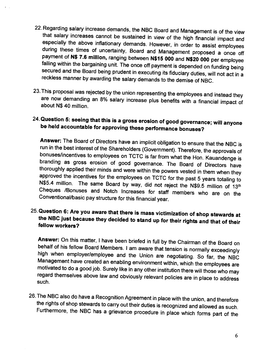- 22.Regarding salary increase demands, the NBC Board and Management is of the view that salary increases cannot be sustained in view of the high financial impact and especially the above inflationary demands. However, in order to assist employees during these times of uncertainty, Board and Management proposed a once off payment of N\$ 7.6 million, ranging between N\$15 000 and N\$20 000 per employee falling within the bargaining unit. The once off payment is depended on funding being secured and the Board being prudent in executing its fiduciary duties, will not act in a reckless manner by awarding the salary demands to the demise of NBC.
- 23.This proposal was rejected by the union representing the employees and instead they are now demanding an 8% salary increase plus benefits with a financial impact of about N\$ 40 million.

# 24.Question 5: seeing that this is a gross erosion of good governance; will anyone be held accountable for approving these performance bonuses?

Answer: The Board of Directors have an implicit obligation to ensure that the NBC is run in the best interest of the Shareholders (Government). Therefore, the approvals of bonuses/incentives to employees on TCTC is far from what the Hon. Kauandenge is branding as gross erosion of good governance. The Board of Directors have thoroughly applied their minds and were within the powers vested in them when they approved the incentives for the employees on TCTC for the past 5 years totaling to N\$5.4 million. The same Board by way, did not reject the N\$9.5 million of 13th Cheques /Bonuses and Notch Increases for staff members who are on the Conventionallbasic pay structure for this financial year.

### 25.Question 6: Are you aware that there is mass victimization of shop stewards at the NBC just because they decided to stand up for their rights and that of their fellow workers?

Answer: On this matter, I have been briefed in full by the Chairman of the Board on behalf of his fellow Board Members. I am aware that tension is normally exceedingly high when employer/employee and the Union are negotiating. So far, the NBC Management have created an enabling environment within, which the employees are motivated to do a good job. Surely like in any other institution there will those who may regard themselves above law and obviously relevant policies are in place to address such.

26. The NBC also do have a Recognition Agreement in place with the union, and therefore the rights of shop stewards to carry out their duties is recognized and allowed as such. Furthermore, the NBC has a grievance procedure in place which forms part of the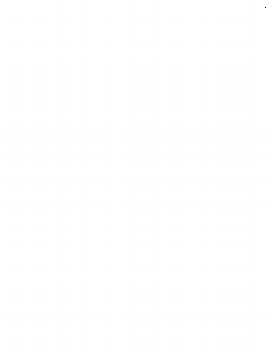Ŷ.